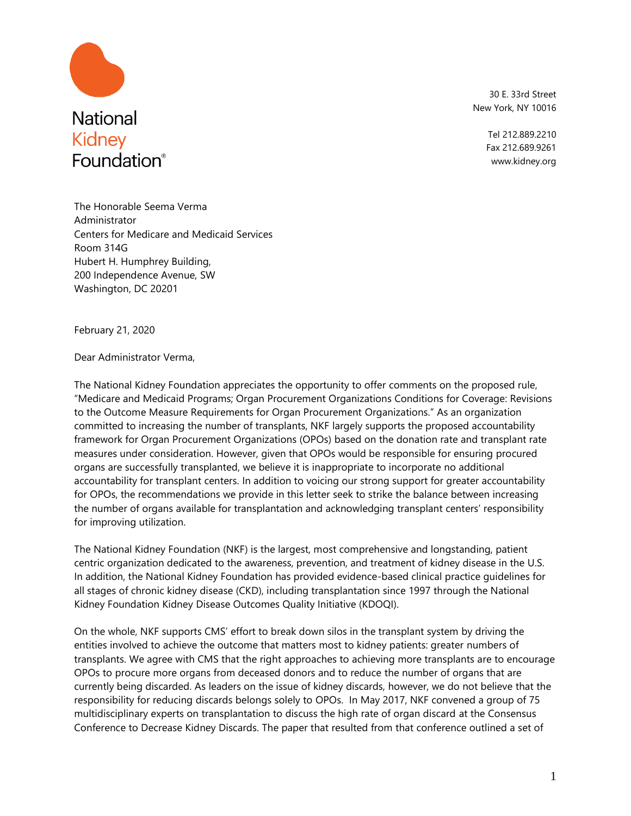

30 E. 33rd Street New York, NY 10016

> Tel 212.889.2210 Fax 212.689.9261 www.kidney.org

The Honorable Seema Verma Administrator Centers for Medicare and Medicaid Services Room 314G Hubert H. Humphrey Building, 200 Independence Avenue, SW Washington, DC 20201

February 21, 2020

Dear Administrator Verma,

The National Kidney Foundation appreciates the opportunity to offer comments on the proposed rule, "Medicare and Medicaid Programs; Organ Procurement Organizations Conditions for Coverage: Revisions to the Outcome Measure Requirements for Organ Procurement Organizations." As an organization committed to increasing the number of transplants, NKF largely supports the proposed accountability framework for Organ Procurement Organizations (OPOs) based on the donation rate and transplant rate measures under consideration. However, given that OPOs would be responsible for ensuring procured organs are successfully transplanted, we believe it is inappropriate to incorporate no additional accountability for transplant centers. In addition to voicing our strong support for greater accountability for OPOs, the recommendations we provide in this letter seek to strike the balance between increasing the number of organs available for transplantation and acknowledging transplant centers' responsibility for improving utilization.

The National Kidney Foundation (NKF) is the largest, most comprehensive and longstanding, patient centric organization dedicated to the awareness, prevention, and treatment of kidney disease in the U.S. In addition, the National Kidney Foundation has provided evidence-based clinical practice guidelines for all stages of chronic kidney disease (CKD), including transplantation since 1997 through the National Kidney Foundation Kidney Disease Outcomes Quality Initiative (KDOQI).

On the whole, NKF supports CMS' effort to break down silos in the transplant system by driving the entities involved to achieve the outcome that matters most to kidney patients: greater numbers of transplants. We agree with CMS that the right approaches to achieving more transplants are to encourage OPOs to procure more organs from deceased donors and to reduce the number of organs that are currently being discarded. As leaders on the issue of kidney discards, however, we do not believe that the responsibility for reducing discards belongs solely to OPOs. In May 2017, NKF convened a group of 75 multidisciplinary experts on transplantation to discuss the high rate of organ discard at the Consensus Conference to Decrease Kidney Discards. The paper that resulted from that conference outlined a set of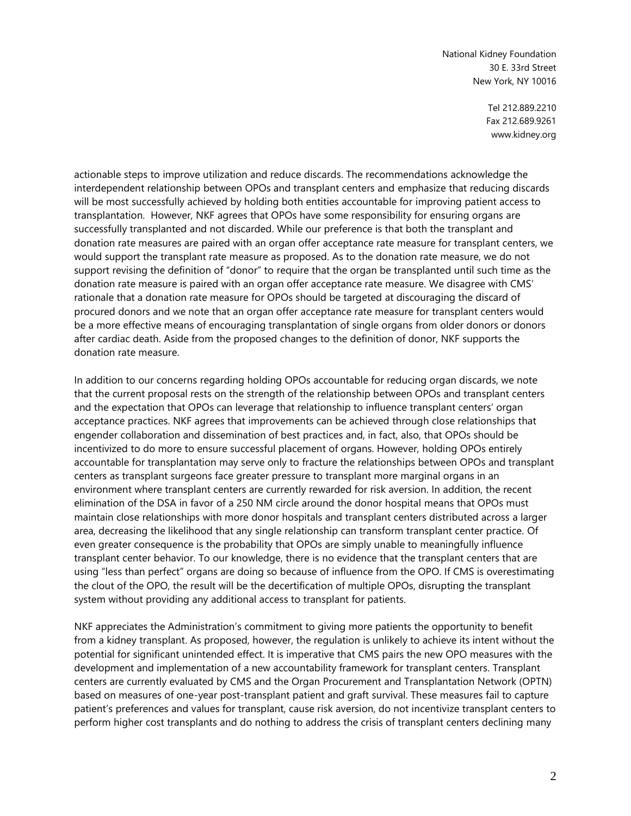> Tel 212.889.2210 Fax 212.689.9261 www.kidney.org

actionable steps to improve utilization and reduce discards. The recommendations acknowledge the interdependent relationship between OPOs and transplant centers and emphasize that reducing discards will be most successfully achieved by holding both entities accountable for improving patient access to transplantation. However, NKF agrees that OPOs have some responsibility for ensuring organs are successfully transplanted and not discarded. While our preference is that both the transplant and donation rate measures are paired with an organ offer acceptance rate measure for transplant centers, we would support the transplant rate measure as proposed. As to the donation rate measure, we do not support revising the definition of "donor" to require that the organ be transplanted until such time as the donation rate measure is paired with an organ offer acceptance rate measure. We disagree with CMS' rationale that a donation rate measure for OPOs should be targeted at discouraging the discard of procured donors and we note that an organ offer acceptance rate measure for transplant centers would be a more effective means of encouraging transplantation of single organs from older donors or donors after cardiac death. Aside from the proposed changes to the definition of donor, NKF supports the donation rate measure.

In addition to our concerns regarding holding OPOs accountable for reducing organ discards, we note that the current proposal rests on the strength of the relationship between OPOs and transplant centers and the expectation that OPOs can leverage that relationship to influence transplant centers' organ acceptance practices. NKF agrees that improvements can be achieved through close relationships that engender collaboration and dissemination of best practices and, in fact, also, that OPOs should be incentivized to do more to ensure successful placement of organs. However, holding OPOs entirely accountable for transplantation may serve only to fracture the relationships between OPOs and transplant centers as transplant surgeons face greater pressure to transplant more marginal organs in an environment where transplant centers are currently rewarded for risk aversion. In addition, the recent elimination of the DSA in favor of a 250 NM circle around the donor hospital means that OPOs must maintain close relationships with more donor hospitals and transplant centers distributed across a larger area, decreasing the likelihood that any single relationship can transform transplant center practice. Of even greater consequence is the probability that OPOs are simply unable to meaningfully influence transplant center behavior. To our knowledge, there is no evidence that the transplant centers that are using "less than perfect" organs are doing so because of influence from the OPO. If CMS is overestimating the clout of the OPO, the result will be the decertification of multiple OPOs, disrupting the transplant system without providing any additional access to transplant for patients.

NKF appreciates the Administration's commitment to giving more patients the opportunity to benefit from a kidney transplant. As proposed, however, the regulation is unlikely to achieve its intent without the potential for significant unintended effect. It is imperative that CMS pairs the new OPO measures with the development and implementation of a new accountability framework for transplant centers. Transplant centers are currently evaluated by CMS and the Organ Procurement and Transplantation Network (OPTN) based on measures of one-year post-transplant patient and graft survival. These measures fail to capture patient's preferences and values for transplant, cause risk aversion, do not incentivize transplant centers to perform higher cost transplants and do nothing to address the crisis of transplant centers declining many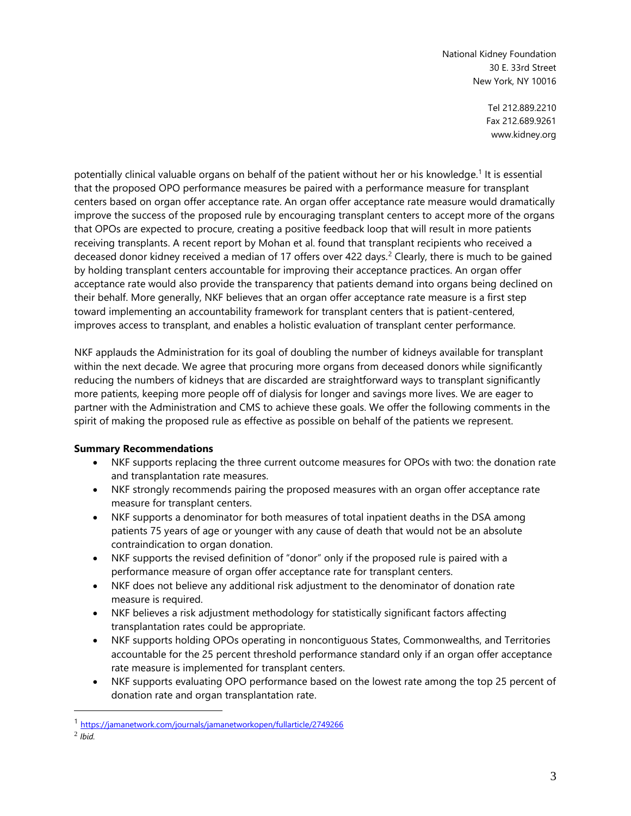> Tel 212.889.2210 Fax 212.689.9261 www.kidney.org

potentially clinical valuable organs on behalf of the patient without her or his knowledge.<sup>1</sup> It is essential that the proposed OPO performance measures be paired with a performance measure for transplant centers based on organ offer acceptance rate. An organ offer acceptance rate measure would dramatically improve the success of the proposed rule by encouraging transplant centers to accept more of the organs that OPOs are expected to procure, creating a positive feedback loop that will result in more patients receiving transplants. A recent report by Mohan et al. found that transplant recipients who received a deceased donor kidney received a median of 17 offers over 422 days.<sup>2</sup> Clearly, there is much to be gained by holding transplant centers accountable for improving their acceptance practices. An organ offer acceptance rate would also provide the transparency that patients demand into organs being declined on their behalf. More generally, NKF believes that an organ offer acceptance rate measure is a first step toward implementing an accountability framework for transplant centers that is patient-centered, improves access to transplant, and enables a holistic evaluation of transplant center performance.

NKF applauds the Administration for its goal of doubling the number of kidneys available for transplant within the next decade. We agree that procuring more organs from deceased donors while significantly reducing the numbers of kidneys that are discarded are straightforward ways to transplant significantly more patients, keeping more people off of dialysis for longer and savings more lives. We are eager to partner with the Administration and CMS to achieve these goals. We offer the following comments in the spirit of making the proposed rule as effective as possible on behalf of the patients we represent.

# **Summary Recommendations**

- NKF supports replacing the three current outcome measures for OPOs with two: the donation rate and transplantation rate measures.
- NKF strongly recommends pairing the proposed measures with an organ offer acceptance rate measure for transplant centers.
- NKF supports a denominator for both measures of total inpatient deaths in the DSA among patients 75 years of age or younger with any cause of death that would not be an absolute contraindication to organ donation.
- NKF supports the revised definition of "donor" only if the proposed rule is paired with a performance measure of organ offer acceptance rate for transplant centers.
- NKF does not believe any additional risk adjustment to the denominator of donation rate measure is required.
- NKF believes a risk adjustment methodology for statistically significant factors affecting transplantation rates could be appropriate.
- NKF supports holding OPOs operating in noncontiguous States, Commonwealths, and Territories accountable for the 25 percent threshold performance standard only if an organ offer acceptance rate measure is implemented for transplant centers.
- NKF supports evaluating OPO performance based on the lowest rate among the top 25 percent of donation rate and organ transplantation rate.

<sup>1</sup> <https://jamanetwork.com/journals/jamanetworkopen/fullarticle/2749266>

<sup>2</sup> *Ibid.*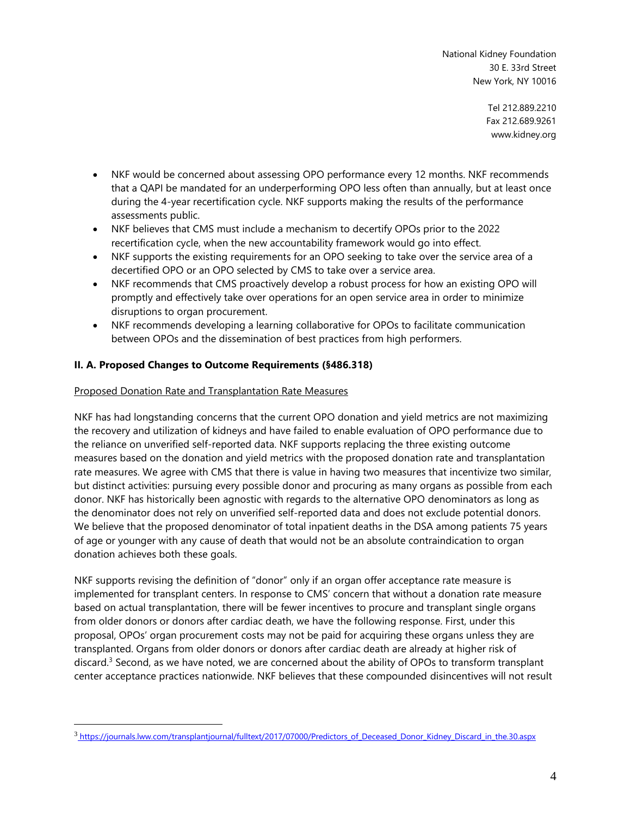> Tel 212.889.2210 Fax 212.689.9261 www.kidney.org

- NKF would be concerned about assessing OPO performance every 12 months. NKF recommends that a QAPI be mandated for an underperforming OPO less often than annually, but at least once during the 4-year recertification cycle. NKF supports making the results of the performance assessments public.
- NKF believes that CMS must include a mechanism to decertify OPOs prior to the 2022 recertification cycle, when the new accountability framework would go into effect.
- NKF supports the existing requirements for an OPO seeking to take over the service area of a decertified OPO or an OPO selected by CMS to take over a service area.
- NKF recommends that CMS proactively develop a robust process for how an existing OPO will promptly and effectively take over operations for an open service area in order to minimize disruptions to organ procurement.
- NKF recommends developing a learning collaborative for OPOs to facilitate communication between OPOs and the dissemination of best practices from high performers.

# **II. A. Proposed Changes to Outcome Requirements (§486.318)**

## Proposed Donation Rate and Transplantation Rate Measures

NKF has had longstanding concerns that the current OPO donation and yield metrics are not maximizing the recovery and utilization of kidneys and have failed to enable evaluation of OPO performance due to the reliance on unverified self-reported data. NKF supports replacing the three existing outcome measures based on the donation and yield metrics with the proposed donation rate and transplantation rate measures. We agree with CMS that there is value in having two measures that incentivize two similar, but distinct activities: pursuing every possible donor and procuring as many organs as possible from each donor. NKF has historically been agnostic with regards to the alternative OPO denominators as long as the denominator does not rely on unverified self-reported data and does not exclude potential donors. We believe that the proposed denominator of total inpatient deaths in the DSA among patients 75 years of age or younger with any cause of death that would not be an absolute contraindication to organ donation achieves both these goals.

NKF supports revising the definition of "donor" only if an organ offer acceptance rate measure is implemented for transplant centers. In response to CMS' concern that without a donation rate measure based on actual transplantation, there will be fewer incentives to procure and transplant single organs from older donors or donors after cardiac death, we have the following response. First, under this proposal, OPOs' organ procurement costs may not be paid for acquiring these organs unless they are transplanted. Organs from older donors or donors after cardiac death are already at higher risk of discard.<sup>3</sup> Second, as we have noted, we are concerned about the ability of OPOs to transform transplant center acceptance practices nationwide. NKF believes that these compounded disincentives will not result

<sup>3</sup> [https://journals.lww.com/transplantjournal/fulltext/2017/07000/Predictors\\_of\\_Deceased\\_Donor\\_Kidney\\_Discard\\_in\\_the.30.aspx](https://journals.lww.com/transplantjournal/fulltext/2017/07000/Predictors_of_Deceased_Donor_Kidney_Discard_in_the.30.aspx)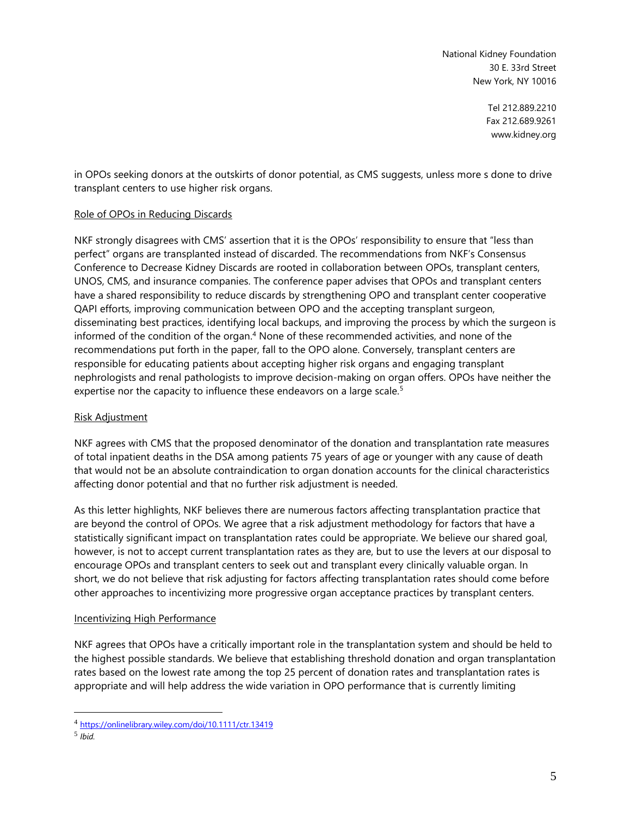> Tel 212.889.2210 Fax 212.689.9261 www.kidney.org

in OPOs seeking donors at the outskirts of donor potential, as CMS suggests, unless more s done to drive transplant centers to use higher risk organs.

#### Role of OPOs in Reducing Discards

NKF strongly disagrees with CMS' assertion that it is the OPOs' responsibility to ensure that "less than perfect" organs are transplanted instead of discarded. The recommendations from NKF's Consensus Conference to Decrease Kidney Discards are rooted in collaboration between OPOs, transplant centers, UNOS, CMS, and insurance companies. The conference paper advises that OPOs and transplant centers have a shared responsibility to reduce discards by strengthening OPO and transplant center cooperative QAPI efforts, improving communication between OPO and the accepting transplant surgeon, disseminating best practices, identifying local backups, and improving the process by which the surgeon is informed of the condition of the organ. <sup>4</sup> None of these recommended activities, and none of the recommendations put forth in the paper, fall to the OPO alone. Conversely, transplant centers are responsible for educating patients about accepting higher risk organs and engaging transplant nephrologists and renal pathologists to improve decision-making on organ offers. OPOs have neither the expertise nor the capacity to influence these endeavors on a large scale.<sup>5</sup>

#### Risk Adjustment

NKF agrees with CMS that the proposed denominator of the donation and transplantation rate measures of total inpatient deaths in the DSA among patients 75 years of age or younger with any cause of death that would not be an absolute contraindication to organ donation accounts for the clinical characteristics affecting donor potential and that no further risk adjustment is needed.

As this letter highlights, NKF believes there are numerous factors affecting transplantation practice that are beyond the control of OPOs. We agree that a risk adjustment methodology for factors that have a statistically significant impact on transplantation rates could be appropriate. We believe our shared goal, however, is not to accept current transplantation rates as they are, but to use the levers at our disposal to encourage OPOs and transplant centers to seek out and transplant every clinically valuable organ. In short, we do not believe that risk adjusting for factors affecting transplantation rates should come before other approaches to incentivizing more progressive organ acceptance practices by transplant centers.

#### Incentivizing High Performance

NKF agrees that OPOs have a critically important role in the transplantation system and should be held to the highest possible standards. We believe that establishing threshold donation and organ transplantation rates based on the lowest rate among the top 25 percent of donation rates and transplantation rates is appropriate and will help address the wide variation in OPO performance that is currently limiting

<sup>4</sup> <https://onlinelibrary.wiley.com/doi/10.1111/ctr.13419>

<sup>5</sup> *Ibid.*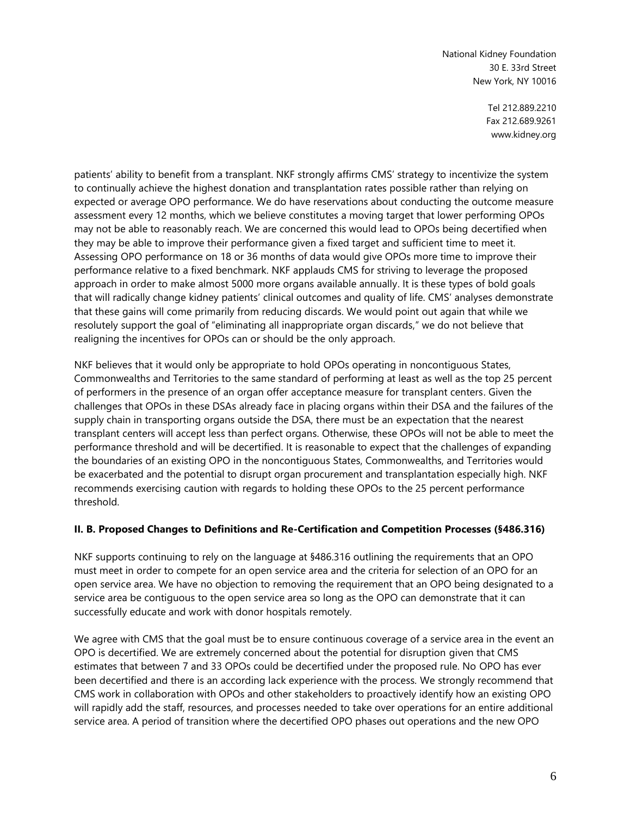> Tel 212.889.2210 Fax 212.689.9261 www.kidney.org

patients' ability to benefit from a transplant. NKF strongly affirms CMS' strategy to incentivize the system to continually achieve the highest donation and transplantation rates possible rather than relying on expected or average OPO performance. We do have reservations about conducting the outcome measure assessment every 12 months, which we believe constitutes a moving target that lower performing OPOs may not be able to reasonably reach. We are concerned this would lead to OPOs being decertified when they may be able to improve their performance given a fixed target and sufficient time to meet it. Assessing OPO performance on 18 or 36 months of data would give OPOs more time to improve their performance relative to a fixed benchmark. NKF applauds CMS for striving to leverage the proposed approach in order to make almost 5000 more organs available annually. It is these types of bold goals that will radically change kidney patients' clinical outcomes and quality of life. CMS' analyses demonstrate that these gains will come primarily from reducing discards. We would point out again that while we resolutely support the goal of "eliminating all inappropriate organ discards," we do not believe that realigning the incentives for OPOs can or should be the only approach.

NKF believes that it would only be appropriate to hold OPOs operating in noncontiguous States, Commonwealths and Territories to the same standard of performing at least as well as the top 25 percent of performers in the presence of an organ offer acceptance measure for transplant centers. Given the challenges that OPOs in these DSAs already face in placing organs within their DSA and the failures of the supply chain in transporting organs outside the DSA, there must be an expectation that the nearest transplant centers will accept less than perfect organs. Otherwise, these OPOs will not be able to meet the performance threshold and will be decertified. It is reasonable to expect that the challenges of expanding the boundaries of an existing OPO in the noncontiguous States, Commonwealths, and Territories would be exacerbated and the potential to disrupt organ procurement and transplantation especially high. NKF recommends exercising caution with regards to holding these OPOs to the 25 percent performance threshold.

#### **II. B. Proposed Changes to Definitions and Re-Certification and Competition Processes (§486.316)**

NKF supports continuing to rely on the language at §486.316 outlining the requirements that an OPO must meet in order to compete for an open service area and the criteria for selection of an OPO for an open service area. We have no objection to removing the requirement that an OPO being designated to a service area be contiguous to the open service area so long as the OPO can demonstrate that it can successfully educate and work with donor hospitals remotely.

We agree with CMS that the goal must be to ensure continuous coverage of a service area in the event an OPO is decertified. We are extremely concerned about the potential for disruption given that CMS estimates that between 7 and 33 OPOs could be decertified under the proposed rule. No OPO has ever been decertified and there is an according lack experience with the process. We strongly recommend that CMS work in collaboration with OPOs and other stakeholders to proactively identify how an existing OPO will rapidly add the staff, resources, and processes needed to take over operations for an entire additional service area. A period of transition where the decertified OPO phases out operations and the new OPO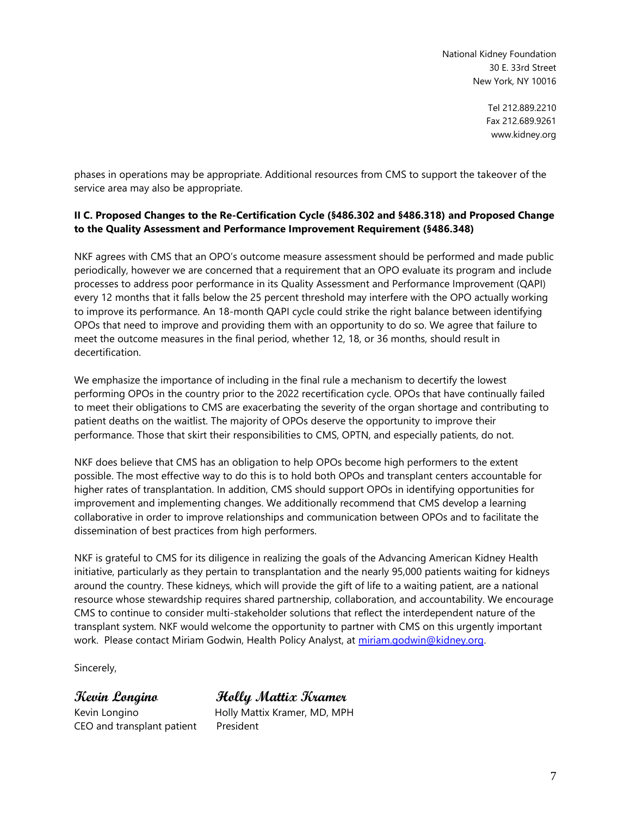> Tel 212.889.2210 Fax 212.689.9261 www.kidney.org

phases in operations may be appropriate. Additional resources from CMS to support the takeover of the service area may also be appropriate.

### **II C. Proposed Changes to the Re-Certification Cycle (§486.302 and §486.318) and Proposed Change to the Quality Assessment and Performance Improvement Requirement (§486.348)**

NKF agrees with CMS that an OPO's outcome measure assessment should be performed and made public periodically, however we are concerned that a requirement that an OPO evaluate its program and include processes to address poor performance in its Quality Assessment and Performance Improvement (QAPI) every 12 months that it falls below the 25 percent threshold may interfere with the OPO actually working to improve its performance. An 18-month QAPI cycle could strike the right balance between identifying OPOs that need to improve and providing them with an opportunity to do so. We agree that failure to meet the outcome measures in the final period, whether 12, 18, or 36 months, should result in decertification.

We emphasize the importance of including in the final rule a mechanism to decertify the lowest performing OPOs in the country prior to the 2022 recertification cycle. OPOs that have continually failed to meet their obligations to CMS are exacerbating the severity of the organ shortage and contributing to patient deaths on the waitlist. The majority of OPOs deserve the opportunity to improve their performance. Those that skirt their responsibilities to CMS, OPTN, and especially patients, do not.

NKF does believe that CMS has an obligation to help OPOs become high performers to the extent possible. The most effective way to do this is to hold both OPOs and transplant centers accountable for higher rates of transplantation. In addition, CMS should support OPOs in identifying opportunities for improvement and implementing changes. We additionally recommend that CMS develop a learning collaborative in order to improve relationships and communication between OPOs and to facilitate the dissemination of best practices from high performers.

NKF is grateful to CMS for its diligence in realizing the goals of the Advancing American Kidney Health initiative, particularly as they pertain to transplantation and the nearly 95,000 patients waiting for kidneys around the country. These kidneys, which will provide the gift of life to a waiting patient, are a national resource whose stewardship requires shared partnership, collaboration, and accountability. We encourage CMS to continue to consider multi-stakeholder solutions that reflect the interdependent nature of the transplant system. NKF would welcome the opportunity to partner with CMS on this urgently important work. Please contact Miriam Godwin, Health Policy Analyst, at [miriam.godwin@kidney.org.](mailto:miriam.godwin@kidney.org)

Sincerely,

CEO and transplant patient President

**Kevin Longino Holly Mattix Kramer**  Kevin Longino **Holly Mattix Kramer, MD, MPH**